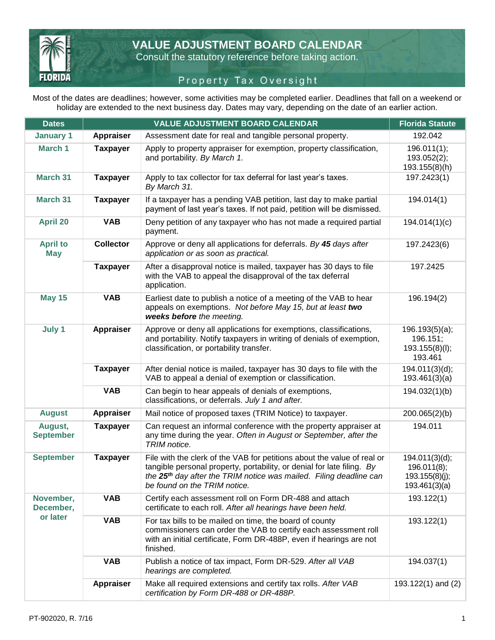

**VALUE ADJUSTMENT BOARD CALENDAR** 

Consult the statutory reference before taking action.

## Property Tax Qversight

Most of the dates are deadlines; however, some activities may be completed earlier. Deadlines that fall on a weekend or holiday are extended to the next business day. Dates may vary, depending on the date of an earlier action.

| <b>Dates</b>                  |                  | <b>VALUE ADJUSTMENT BOARD CALENDAR</b>                                                                                                                                                                                                                              | <b>Florida Statute</b>                                           |  |  |
|-------------------------------|------------------|---------------------------------------------------------------------------------------------------------------------------------------------------------------------------------------------------------------------------------------------------------------------|------------------------------------------------------------------|--|--|
| <b>January 1</b>              | <b>Appraiser</b> | Assessment date for real and tangible personal property.                                                                                                                                                                                                            | 192.042                                                          |  |  |
| March 1                       | <b>Taxpayer</b>  | Apply to property appraiser for exemption, property classification,<br>and portability. By March 1.                                                                                                                                                                 | 196.011(1);<br>193.052(2);<br>193.155(8)(h)                      |  |  |
| <b>March 31</b>               | <b>Taxpayer</b>  | Apply to tax collector for tax deferral for last year's taxes.<br>By March 31.                                                                                                                                                                                      | 197.2423(1)                                                      |  |  |
| <b>March 31</b>               | <b>Taxpayer</b>  | If a taxpayer has a pending VAB petition, last day to make partial<br>payment of last year's taxes. If not paid, petition will be dismissed.                                                                                                                        | 194.014(1)                                                       |  |  |
| <b>April 20</b>               | <b>VAB</b>       | Deny petition of any taxpayer who has not made a required partial<br>payment.                                                                                                                                                                                       | 194.014(1)(c)                                                    |  |  |
| <b>April to</b><br><b>May</b> | <b>Collector</b> | Approve or deny all applications for deferrals. By 45 days after<br>application or as soon as practical.                                                                                                                                                            | 197.2423(6)                                                      |  |  |
|                               | <b>Taxpayer</b>  | After a disapproval notice is mailed, taxpayer has 30 days to file<br>with the VAB to appeal the disapproval of the tax deferral<br>application.                                                                                                                    | 197.2425                                                         |  |  |
| <b>May 15</b>                 | <b>VAB</b>       | Earliest date to publish a notice of a meeting of the VAB to hear<br>196.194(2)<br>appeals on exemptions. Not before May 15, but at least two<br>weeks before the meeting.                                                                                          |                                                                  |  |  |
| July 1                        | <b>Appraiser</b> | Approve or deny all applications for exemptions, classifications,<br>and portability. Notify taxpayers in writing of denials of exemption,<br>classification, or portability transfer.                                                                              | 196.193(5)(a);<br>196.151;<br>193.155(8)(I);<br>193.461          |  |  |
|                               | <b>Taxpayer</b>  | After denial notice is mailed, taxpayer has 30 days to file with the<br>VAB to appeal a denial of exemption or classification.                                                                                                                                      | 194.011(3)(d);<br>193.461(3)(a)                                  |  |  |
|                               | <b>VAB</b>       | Can begin to hear appeals of denials of exemptions,<br>classifications, or deferrals. July 1 and after.                                                                                                                                                             | 194.032(1)(b)                                                    |  |  |
| <b>August</b>                 | Appraiser        | Mail notice of proposed taxes (TRIM Notice) to taxpayer.                                                                                                                                                                                                            | 200.065(2)(b)                                                    |  |  |
| August,<br><b>September</b>   | <b>Taxpayer</b>  | Can request an informal conference with the property appraiser at<br>any time during the year. Often in August or September, after the<br>TRIM notice.                                                                                                              | 194.011                                                          |  |  |
| <b>September</b>              | <b>Taxpayer</b>  | File with the clerk of the VAB for petitions about the value of real or<br>tangible personal property, portability, or denial for late filing. By<br>the 25 <sup>th</sup> day after the TRIM notice was mailed. Filing deadline can<br>be found on the TRIM notice. | 194.011(3)(d);<br>196.011(8);<br>193.155(8)(j);<br>193.461(3)(a) |  |  |
| November,<br>December,        | <b>VAB</b>       | Certify each assessment roll on Form DR-488 and attach<br>certificate to each roll. After all hearings have been held.                                                                                                                                              | 193.122(1)                                                       |  |  |
| or later                      | <b>VAB</b>       | For tax bills to be mailed on time, the board of county<br>commissioners can order the VAB to certify each assessment roll<br>with an initial certificate, Form DR-488P, even if hearings are not<br>finished.                                                      | 193.122(1)                                                       |  |  |
|                               | <b>VAB</b>       | Publish a notice of tax impact, Form DR-529. After all VAB<br>hearings are completed.                                                                                                                                                                               | 194.037(1)                                                       |  |  |
|                               | Appraiser        | Make all required extensions and certify tax rolls. After VAB<br>certification by Form DR-488 or DR-488P.                                                                                                                                                           | 193.122(1) and (2)                                               |  |  |